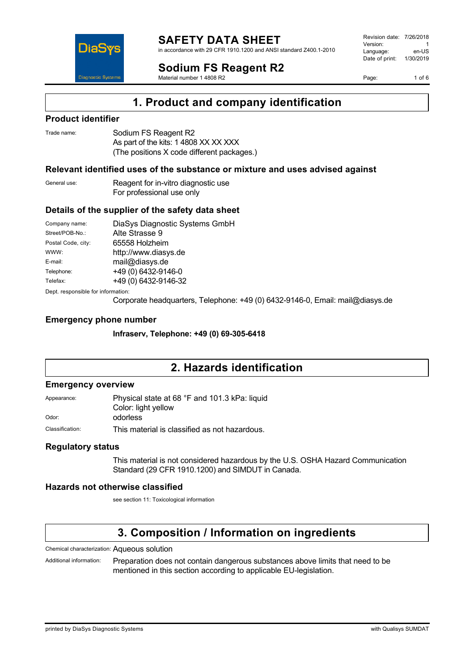

in accordance with 29 CFR 1910.1200 and ANSI standard Z400.1-2010

**Sodium FS Reagent R2**

Material number 1 4808 R2

Revision date: 7/26/2018 Version: 1<br>Language: en-LIS Language: Date of print: 1/30/2019

Page: 1 of 6

## **1. Product and company identification**

### **Product identifier**

DiaS

**Diagnostic Syste** 

| Trade name: | Sodium FS Reagent R2                       |
|-------------|--------------------------------------------|
|             | As part of the kits: 1 4808 XX XX XXX      |
|             | (The positions X code different packages.) |

## **Relevant identified uses of the substance or mixture and uses advised against**

| General use: | Reagent for in-vitro diagnostic use |
|--------------|-------------------------------------|
|              | For professional use only           |

#### **Details of the supplier of the safety data sheet**

| Company name:                      | DiaSys Diagnostic Systems GmbH |  |
|------------------------------------|--------------------------------|--|
| Street/POB-No.:                    | Alte Strasse 9                 |  |
| Postal Code, city:                 | 65558 Holzheim                 |  |
| WWW:                               | http://www.diasys.de           |  |
| E-mail:                            | mail@diasys.de                 |  |
| Telephone:                         | +49 (0) 6432-9146-0            |  |
| Telefax:                           | +49 (0) 6432-9146-32           |  |
| Dept. responsible for information: |                                |  |

Corporate headquarters, Telephone: +49 (0) 6432-9146-0, Email: mail@diasys.de

#### **Emergency phone number**

**Infraserv, Telephone: +49 (0) 69-305-6418**

## **2. Hazards identification**

#### **Emergency overview**

Appearance: Physical state at 68 °F and 101.3 kPa: liquid Color: light yellow

Odor: odorless

Classification: This material is classified as not hazardous.

### **Regulatory status**

This material is not considered hazardous by the U.S. OSHA Hazard Communication Standard (29 CFR 1910.1200) and SIMDUT in Canada.

### **Hazards not otherwise classified**

see section 11: Toxicological information

# **3. Composition / Information on ingredients**

Chemical characterization: Aqueous solution

Additional information: Preparation does not contain dangerous substances above limits that need to be mentioned in this section according to applicable EU-legislation.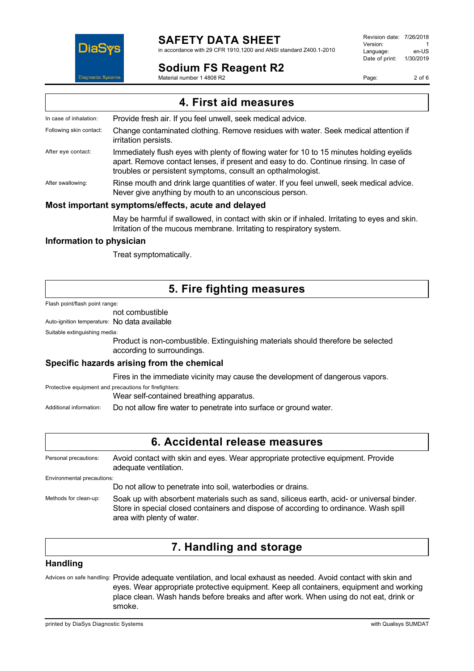

# **SAFETY DATA SHEET**

in accordance with 29 CFR 1910.1200 and ANSI standard Z400.1-2010

## **Sodium FS Reagent R2**

Material number 1 4808 R2

Revision date: 7/26/2018 Version: 1<br>Language: en-LIS Language: Date of print: 1/30/2019

Page: 2 of 6

|                         | 4. First aid measures                                                                                                                                                                                                                            |
|-------------------------|--------------------------------------------------------------------------------------------------------------------------------------------------------------------------------------------------------------------------------------------------|
| In case of inhalation:  | Provide fresh air. If you feel unwell, seek medical advice.                                                                                                                                                                                      |
| Following skin contact: | Change contaminated clothing. Remove residues with water. Seek medical attention if<br>irritation persists.                                                                                                                                      |
| After eye contact:      | Immediately flush eyes with plenty of flowing water for 10 to 15 minutes holding eyelids<br>apart. Remove contact lenses, if present and easy to do. Continue rinsing. In case of<br>troubles or persistent symptoms, consult an opthalmologist. |
| After swallowing:       | Rinse mouth and drink large quantities of water. If you feel unwell, seek medical advice.<br>Never give anything by mouth to an unconscious person.                                                                                              |
|                         | Most important symptoms/effects, acute and delayed                                                                                                                                                                                               |
|                         | . The state of the state of the state $\mathcal{L}$ and the state of the state of the state of the state of the state of the state of the state of the state of the state of the state of the state of the state of the state of t               |

May be harmful if swallowed, in contact with skin or if inhaled. Irritating to eyes and skin. Irritation of the mucous membrane. Irritating to respiratory system.

### **Information to physician**

Treat symptomatically.

# **5. Fire fighting measures**

Flash point/flash point range:

## not combustible

Auto-ignition temperature: No data available

Suitable extinguishing media:

Product is non-combustible. Extinguishing materials should therefore be selected according to surroundings.

## **Specific hazards arising from the chemical**

Fires in the immediate vicinity may cause the development of dangerous vapors.

Protective equipment and precautions for firefighters:

Wear self-contained breathing apparatus.

Additional information: Do not allow fire water to penetrate into surface or ground water.

## **6. Accidental release measures**

Personal precautions: Avoid contact with skin and eyes. Wear appropriate protective equipment. Provide adequate ventilation. Environmental precautions: Do not allow to penetrate into soil, waterbodies or drains.

Methods for clean-up: Soak up with absorbent materials such as sand, siliceus earth, acid- or universal binder. Store in special closed containers and dispose of according to ordinance. Wash spill area with plenty of water.

# **7. Handling and storage**

### **Handling**

Advices on safe handling: Provide adequate ventilation, and local exhaust as needed. Avoid contact with skin and eyes. Wear appropriate protective equipment. Keep all containers, equipment and working place clean. Wash hands before breaks and after work. When using do not eat, drink or smoke.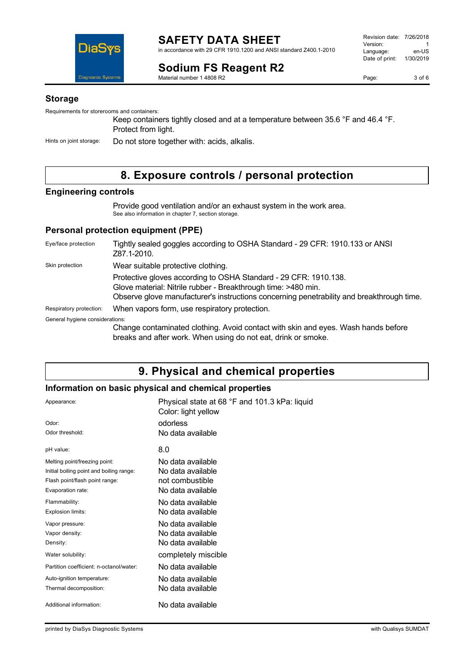

#### **Sodium FS Reagent R2** Material number 1 4808 R2

Page: 3 of 6

#### **Storage**

Requirements for storerooms and containers:

Keep containers tightly closed and at a temperature between 35.6 °F and 46.4 °F. Protect from light.

Hints on joint storage: Do not store together with: acids, alkalis.

# **8. Exposure controls / personal protection**

### **Engineering controls**

Provide good ventilation and/or an exhaust system in the work area. See also information in chapter 7, section storage.

### **Personal protection equipment (PPE)**

| Eye/face protection             | Tightly sealed goggles according to OSHA Standard - 29 CFR: 1910.133 or ANSI<br>Z87.1-2010.                                                                                                                                    |
|---------------------------------|--------------------------------------------------------------------------------------------------------------------------------------------------------------------------------------------------------------------------------|
| Skin protection                 | Wear suitable protective clothing.                                                                                                                                                                                             |
|                                 | Protective gloves according to OSHA Standard - 29 CFR: 1910.138.<br>Glove material: Nitrile rubber - Breakthrough time: >480 min.<br>Observe glove manufacturer's instructions concerning penetrability and breakthrough time. |
| Respiratory protection:         | When vapors form, use respiratory protection.                                                                                                                                                                                  |
| General hygiene considerations: |                                                                                                                                                                                                                                |
|                                 | Change contaminated clothing. Avoid contact with skin and eyes. Wash hands before<br>breaks and after work. When using do not eat, drink or smoke.                                                                             |

## **9. Physical and chemical properties**

### **Information on basic physical and chemical properties**

| Appearance:<br>Odor:<br>Odor threshold:                                                                                          | Physical state at 68 °F and 101.3 kPa: liquid<br>Color: light yellow<br>odorless<br>No data available |
|----------------------------------------------------------------------------------------------------------------------------------|-------------------------------------------------------------------------------------------------------|
| pH value:                                                                                                                        | 8.0                                                                                                   |
| Melting point/freezing point:<br>Initial boiling point and boiling range:<br>Flash point/flash point range:<br>Evaporation rate: | No data available<br>No data available<br>not combustible<br>No data available                        |
| Flammability:<br>Explosion limits:                                                                                               | No data available<br>No data available                                                                |
| Vapor pressure:<br>Vapor density:<br>Density:                                                                                    | No data available<br>No data available<br>No data available                                           |
| Water solubility:                                                                                                                | completely miscible                                                                                   |
| Partition coefficient: n-octanol/water:                                                                                          | No data available                                                                                     |
| Auto-ignition temperature:<br>Thermal decomposition:                                                                             | No data available<br>No data available                                                                |
| Additional information:                                                                                                          | No data available                                                                                     |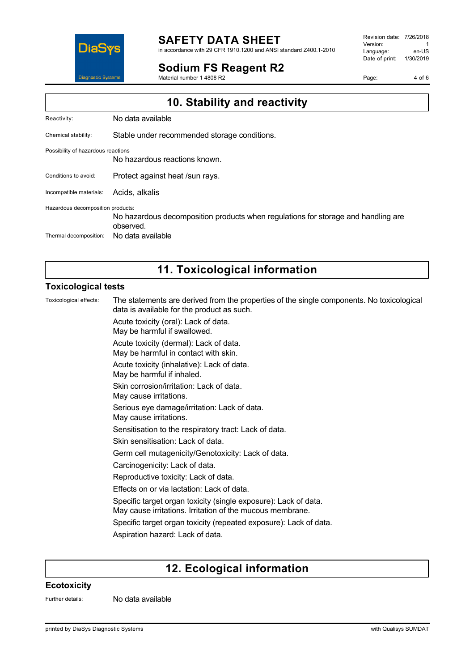

#### **SAFETY DATA SHEET** in accordance with 29 CFR 1910.1200 and ANSI standard Z400.1-2010

**Sodium FS Reagent R2**

Material number 1 4808 R2

Revision date: 7/26/2018 Version: 1<br>Language: en-LIS Language: Date of print: 1/30/2019

Page: 4 of 6

| 10. Stability and reactivity       |                                                                                                |  |
|------------------------------------|------------------------------------------------------------------------------------------------|--|
| Reactivity:                        | No data available                                                                              |  |
| Chemical stability:                | Stable under recommended storage conditions.                                                   |  |
| Possibility of hazardous reactions | No hazardous reactions known.                                                                  |  |
| Conditions to avoid:               | Protect against heat /sun rays.                                                                |  |
| Incompatible materials:            | Acids, alkalis                                                                                 |  |
| Hazardous decomposition products:  | No hazardous decomposition products when regulations for storage and handling are<br>observed. |  |
| Thermal decomposition:             | No data available                                                                              |  |

# **11. Toxicological information**

### **Toxicological tests**

Toxicological effects: The statements are derived from the properties of the single components. No toxicological data is available for the product as such. Acute toxicity (oral): Lack of data. May be harmful if swallowed. Acute toxicity (dermal): Lack of data. May be harmful in contact with skin. Acute toxicity (inhalative): Lack of data. May be harmful if inhaled. Skin corrosion/irritation: Lack of data. May cause irritations. Serious eye damage/irritation: Lack of data. May cause irritations. Sensitisation to the respiratory tract: Lack of data. Skin sensitisation: Lack of data. Germ cell mutagenicity/Genotoxicity: Lack of data. Carcinogenicity: Lack of data. Reproductive toxicity: Lack of data. Effects on or via lactation: Lack of data. Specific target organ toxicity (single exposure): Lack of data. May cause irritations. Irritation of the mucous membrane. Specific target organ toxicity (repeated exposure): Lack of data. Aspiration hazard: Lack of data.

## **12. Ecological information**

#### **Ecotoxicity**

Further details: No data available

printed by DiaSys Diagnostic Systems with Qualisys SUMDAT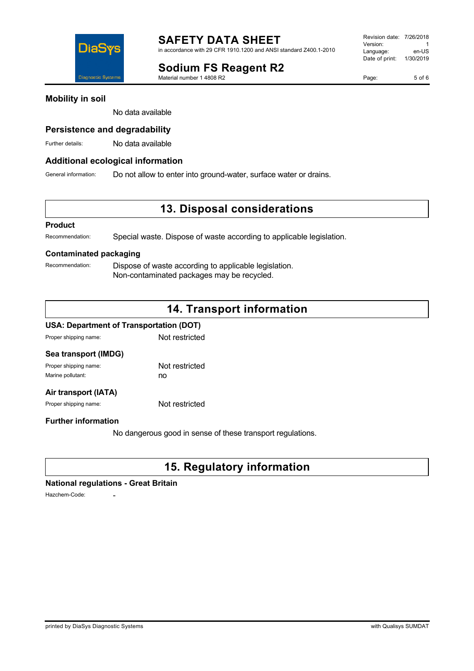**Sodium FS Reagent R2**

Material number 1 4808 R2

## **Mobility in soil**

No data available

### **Persistence and degradability**

Further details: No data available

#### **Additional ecological information**

General information: Do not allow to enter into ground-water, surface water or drains.

## **13. Disposal considerations**

#### **Product**

Recommendation: Special waste. Dispose of waste according to applicable legislation.

### **Contaminated packaging**

Recommendation: Dispose of waste according to applicable legislation. Non-contaminated packages may be recycled.

# **14. Transport information**

#### **USA: Department of Transportation (DOT)**

Proper shipping name: Not restricted

| Sea transport (IMDG)  |                |
|-----------------------|----------------|
| Proper shipping name: | Not restricted |
| Marine pollutant:     | no             |
|                       |                |

## **Air transport (IATA)**

Proper shipping name: Not restricted

#### **Further information**

No dangerous good in sense of these transport regulations.

# **15. Regulatory information**

#### **National regulations - Great Britain**

Hazchem-Code:



Page: 5 of 6